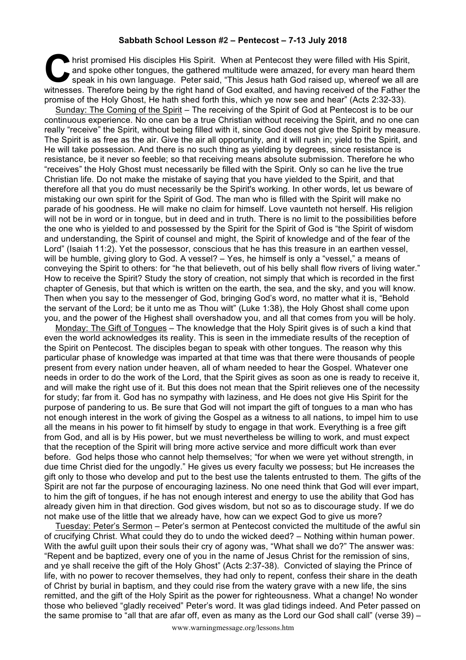## **Sabbath School Lesson #2 – Pentecost – 7-13 July 2018**

hrist promised His disciples His Spirit. When at Pentecost they were filled with His Spirit, and spoke other tongues, the gathered multitude were amazed, for every man heard then speak in his own language. Peter said, "Thi and spoke other tongues, the gathered multitude were amazed, for every man heard them speak in his own language. Peter said, "This Jesus hath God raised up, whereof we all are witnesses. Therefore being by the right hand of God exalted, and having received of the Father the promise of the Holy Ghost, He hath shed forth this, which ye now see and hear" (Acts 2:32-33).

Sunday: The Coming of the Spirit – The receiving of the Spirit of God at Pentecost is to be our continuous experience. No one can be a true Christian without receiving the Spirit, and no one can really "receive" the Spirit, without being filled with it, since God does not give the Spirit by measure. The Spirit is as free as the air. Give the air all opportunity, and it will rush in; yield to the Spirit, and He will take possession. And there is no such thing as yielding by degrees, since resistance is resistance, be it never so feeble; so that receiving means absolute submission. Therefore he who "receives" the Holy Ghost must necessarily be filled with the Spirit. Only so can he live the true Christian life. Do not make the mistake of saying that you have yielded to the Spirit, and that therefore all that you do must necessarily be the Spirit's working. In other words, let us beware of mistaking our own spirit for the Spirit of God. The man who is filled with the Spirit will make no parade of his goodness. He will make no claim for himself. Love vaunteth not herself. His religion will not be in word or in tongue, but in deed and in truth. There is no limit to the possibilities before the one who is yielded to and possessed by the Spirit for the Spirit of God is "the Spirit of wisdom and understanding, the Spirit of counsel and might, the Spirit of knowledge and of the fear of the Lord" (Isaiah 11:2). Yet the possessor, conscious that he has this treasure in an earthen vessel, will be humble, giving glory to God. A vessel? – Yes, he himself is only a "vessel," a means of conveying the Spirit to others: for "he that believeth, out of his belly shall flow rivers of living water." How to receive the Spirit? Study the story of creation, not simply that which is recorded in the first chapter of Genesis, but that which is written on the earth, the sea, and the sky, and you will know. Then when you say to the messenger of God, bringing God's word, no matter what it is, "Behold the servant of the Lord; be it unto me as Thou wilt" (Luke 1:38), the Holy Ghost shall come upon you, and the power of the Highest shall overshadow you, and all that comes from you will be holy.

Monday: The Gift of Tongues – The knowledge that the Holy Spirit gives is of such a kind that even the world acknowledges its reality. This is seen in the immediate results of the reception of the Spirit on Pentecost. The disciples began to speak with other tongues. The reason why this particular phase of knowledge was imparted at that time was that there were thousands of people present from every nation under heaven, all of wham needed to hear the Gospel. Whatever one needs in order to do the work of the Lord, that the Spirit gives as soon as one is ready to receive it, and will make the right use of it. But this does not mean that the Spirit relieves one of the necessity for study; far from it. God has no sympathy with laziness, and He does not give His Spirit for the purpose of pandering to us. Be sure that God will not impart the gift of tongues to a man who has not enough interest in the work of giving the Gospel as a witness to all nations, to impel him to use all the means in his power to fit himself by study to engage in that work. Everything is a free gift from God, and all is by His power, but we must nevertheless be willing to work, and must expect that the reception of the Spirit will bring more active service and more difficult work than ever before. God helps those who cannot help themselves; "for when we were yet without strength, in due time Christ died for the ungodly." He gives us every faculty we possess; but He increases the gift only to those who develop and put to the best use the talents entrusted to them. The gifts of the Spirit are not far the purpose of encouraging laziness. No one need think that God will ever impart, to him the gift of tongues, if he has not enough interest and energy to use the ability that God has already given him in that direction. God gives wisdom, but not so as to discourage study. If we do not make use of the little that we already have, how can we expect God to give us more?

Tuesday: Peter's Sermon – Peter's sermon at Pentecost convicted the multitude of the awful sin of crucifying Christ. What could they do to undo the wicked deed? – Nothing within human power. With the awful guilt upon their souls their cry of agony was, "What shall we do?" The answer was: "Repent and be baptized, every one of you in the name of Jesus Christ for the remission of sins, and ye shall receive the gift of the Holy Ghost" (Acts 2:37-38). Convicted of slaying the Prince of life, with no power to recover themselves, they had only to repent, confess their share in the death of Christ by burial in baptism, and they could rise from the watery grave with a new life, the sins remitted, and the gift of the Holy Spirit as the power for righteousness. What a change! No wonder those who believed "gladly received" Peter's word. It was glad tidings indeed. And Peter passed on the same promise to "all that are afar off, even as many as the Lord our God shall call" (verse 39) –